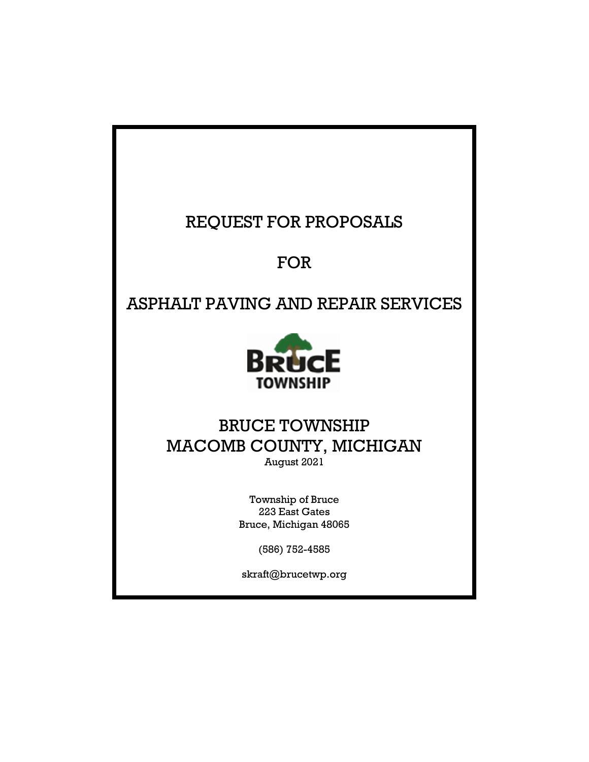# REQUEST FOR PROPOSALS

# FOR

ASPHALT PAVING AND REPAIR SERVICES



## BRUCE TOWNSHIP MACOMB COUNTY, MICHIGAN August 2021

Township of Bruce 223 East Gates Bruce, Michigan 48065

(586) 752-4585

skraft@brucetwp.org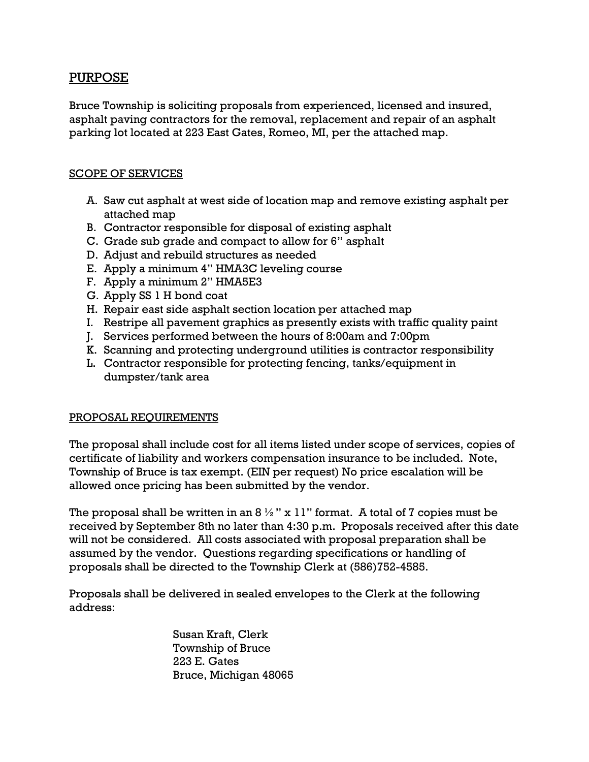### PURPOSE

Bruce Township is soliciting proposals from experienced, licensed and insured, asphalt paving contractors for the removal, replacement and repair of an asphalt parking lot located at 223 East Gates, Romeo, MI, per the attached map.

#### SCOPE OF SERVICES

- A. Saw cut asphalt at west side of location map and remove existing asphalt per attached map
- B. Contractor responsible for disposal of existing asphalt
- C. Grade sub grade and compact to allow for 6" asphalt
- D. Adjust and rebuild structures as needed
- E. Apply a minimum 4" HMA3C leveling course
- F. Apply a minimum 2" HMA5E3
- G. Apply SS 1 H bond coat
- H. Repair east side asphalt section location per attached map
- I. Restripe all pavement graphics as presently exists with traffic quality paint
- J. Services performed between the hours of 8:00am and 7:00pm
- K. Scanning and protecting underground utilities is contractor responsibility
- L. Contractor responsible for protecting fencing, tanks/equipment in dumpster/tank area

### PROPOSAL REQUIREMENTS

The proposal shall include cost for all items listed under scope of services, copies of certificate of liability and workers compensation insurance to be included. Note, Township of Bruce is tax exempt. (EIN per request) No price escalation will be allowed once pricing has been submitted by the vendor.

The proposal shall be written in an  $8\frac{1}{2}$ " x 11" format. A total of 7 copies must be received by September 8th no later than 4:30 p.m. Proposals received after this date will not be considered. All costs associated with proposal preparation shall be assumed by the vendor. Questions regarding specifications or handling of proposals shall be directed to the Township Clerk at (586)752-4585.

Proposals shall be delivered in sealed envelopes to the Clerk at the following address:

> Susan Kraft, Clerk Township of Bruce 223 E. Gates Bruce, Michigan 48065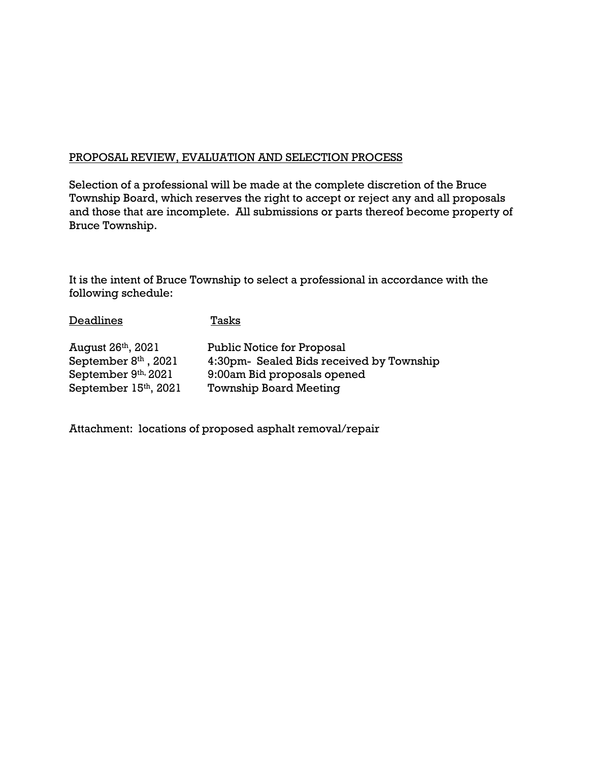#### PROPOSAL REVIEW, EVALUATION AND SELECTION PROCESS

Selection of a professional will be made at the complete discretion of the Bruce Township Board, which reserves the right to accept or reject any and all proposals and those that are incomplete. All submissions or parts thereof become property of Bruce Township.

It is the intent of Bruce Township to select a professional in accordance with the following schedule:

| <b>Deadlines</b>               | Tasks                                    |
|--------------------------------|------------------------------------------|
| August 26 <sup>th</sup> , 2021 | <b>Public Notice for Proposal</b>        |
| September $8th$ , 2021         | 4:30pm- Sealed Bids received by Township |
| September 9th, 2021            | 9:00am Bid proposals opened              |
| September 15th, 2021           | <b>Township Board Meeting</b>            |

Attachment: locations of proposed asphalt removal/repair